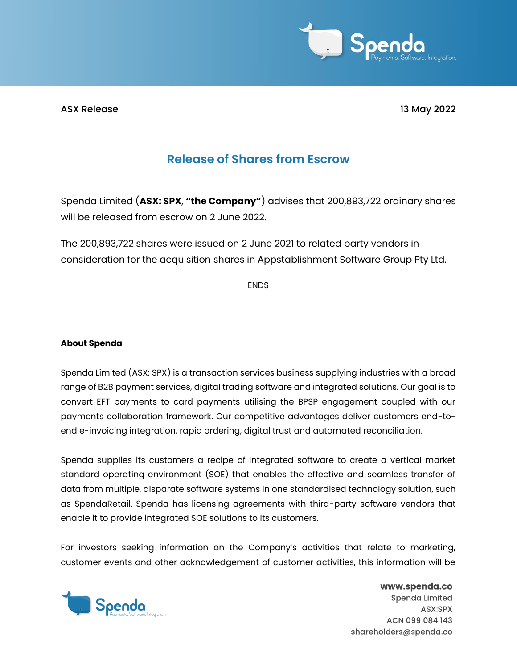

ASX Release 13 May 2022

## **Release of Shares from Escrow**

Spenda Limited (**ASX: SPX**, **"the Company"**) advises that 200,893,722 ordinary shares will be released from escrow on 2 June 2022.

The 200,893,722 shares were issued on 2 June 2021 to related party vendors in consideration for the acquisition shares in Appstablishment Software Group Pty Ltd.

- ENDS -

## **About Spenda**

Spenda Limited (ASX: SPX) is a transaction services business supplying industries with a broad range of B2B payment services, digital trading software and integrated solutions. Our goal is to convert EFT payments to card payments utilising the BPSP engagement coupled with our payments collaboration framework. Our competitive advantages deliver customers end-toend e-invoicing integration, rapid ordering, digital trust and automated reconciliation.

Spenda supplies its customers a recipe of integrated software to create a vertical market standard operating environment (SOE) that enables the effective and seamless transfer of data from multiple, disparate software systems in one standardised technology solution, such as SpendaRetail. Spenda has licensing agreements with third-party software vendors that enable it to provide integrated SOE solutions to its customers.

For investors seeking information on the Company's activities that relate to marketing, customer events and other acknowledgement of customer activities, this information will be



www.spenda.co Spenda Limited ASX:SPX ACN 099 084 143 shareholders@spenda.co